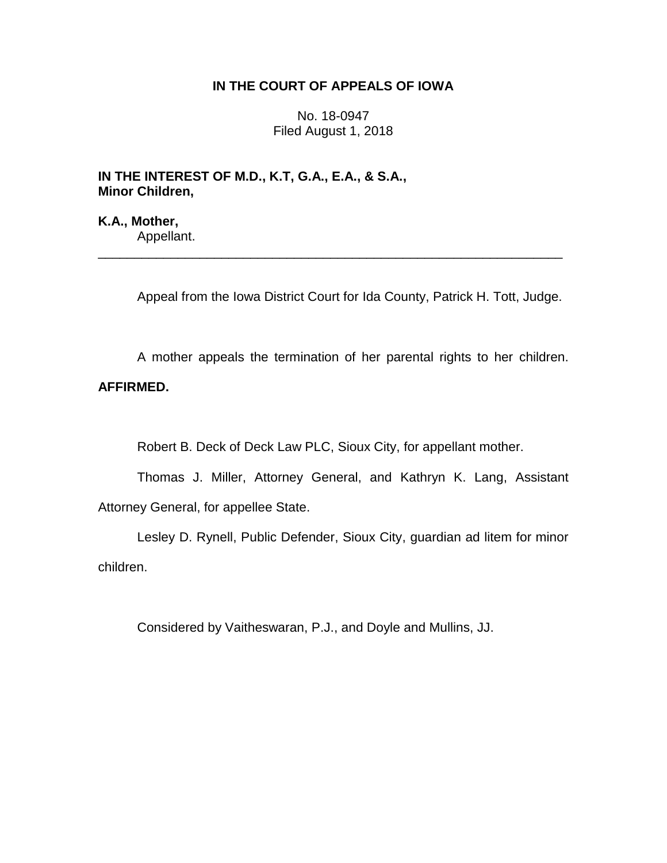## **IN THE COURT OF APPEALS OF IOWA**

No. 18-0947 Filed August 1, 2018

\_\_\_\_\_\_\_\_\_\_\_\_\_\_\_\_\_\_\_\_\_\_\_\_\_\_\_\_\_\_\_\_\_\_\_\_\_\_\_\_\_\_\_\_\_\_\_\_\_\_\_\_\_\_\_\_\_\_\_\_\_\_\_\_

**IN THE INTEREST OF M.D., K.T, G.A., E.A., & S.A., Minor Children,**

**K.A., Mother,** Appellant.

Appeal from the Iowa District Court for Ida County, Patrick H. Tott, Judge.

A mother appeals the termination of her parental rights to her children.

## **AFFIRMED.**

Robert B. Deck of Deck Law PLC, Sioux City, for appellant mother.

Thomas J. Miller, Attorney General, and Kathryn K. Lang, Assistant Attorney General, for appellee State.

Lesley D. Rynell, Public Defender, Sioux City, guardian ad litem for minor children.

Considered by Vaitheswaran, P.J., and Doyle and Mullins, JJ.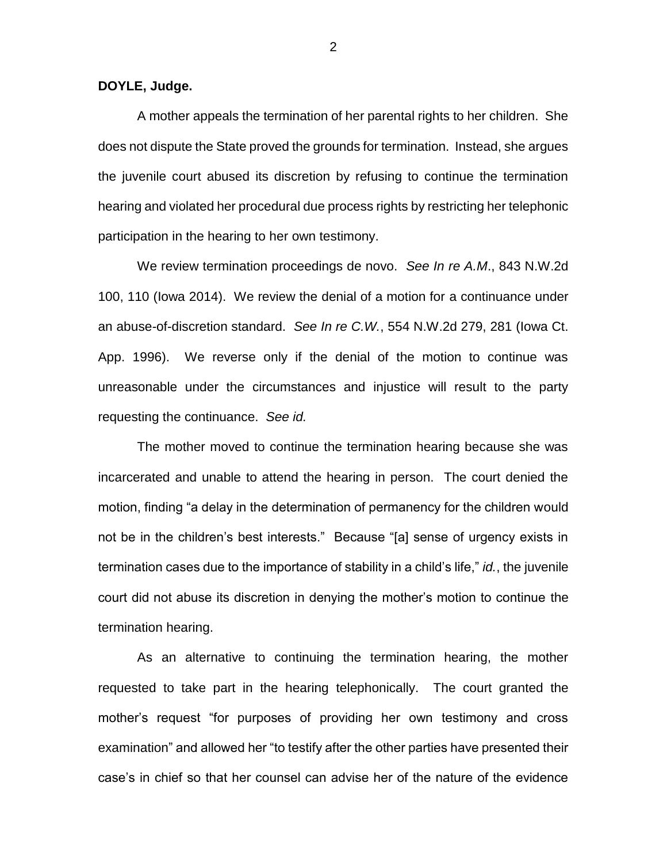**DOYLE, Judge.**

A mother appeals the termination of her parental rights to her children. She does not dispute the State proved the grounds for termination. Instead, she argues the juvenile court abused its discretion by refusing to continue the termination hearing and violated her procedural due process rights by restricting her telephonic participation in the hearing to her own testimony.

We review termination proceedings de novo. *See In re A.M*., 843 N.W.2d 100, 110 (Iowa 2014). We review the denial of a motion for a continuance under an abuse-of-discretion standard. *See In re C.W.*, 554 N.W.2d 279, 281 (Iowa Ct. App. 1996). We reverse only if the denial of the motion to continue was unreasonable under the circumstances and injustice will result to the party requesting the continuance. *See id.*

The mother moved to continue the termination hearing because she was incarcerated and unable to attend the hearing in person. The court denied the motion, finding "a delay in the determination of permanency for the children would not be in the children's best interests." Because "[a] sense of urgency exists in termination cases due to the importance of stability in a child's life," *id.*, the juvenile court did not abuse its discretion in denying the mother's motion to continue the termination hearing.

As an alternative to continuing the termination hearing, the mother requested to take part in the hearing telephonically. The court granted the mother's request "for purposes of providing her own testimony and cross examination" and allowed her "to testify after the other parties have presented their case's in chief so that her counsel can advise her of the nature of the evidence

2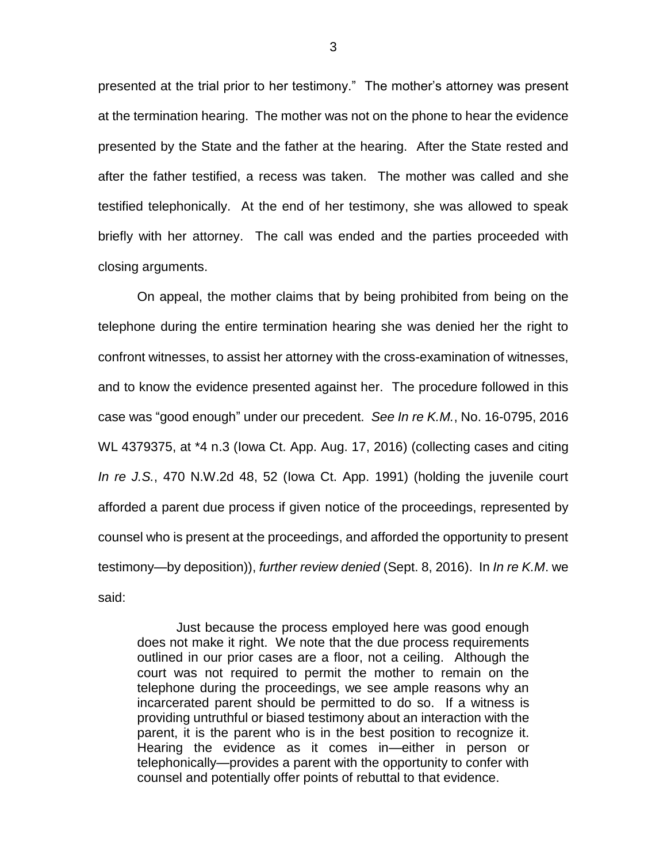presented at the trial prior to her testimony." The mother's attorney was present at the termination hearing. The mother was not on the phone to hear the evidence presented by the State and the father at the hearing. After the State rested and after the father testified, a recess was taken. The mother was called and she testified telephonically. At the end of her testimony, she was allowed to speak briefly with her attorney. The call was ended and the parties proceeded with closing arguments.

On appeal, the mother claims that by being prohibited from being on the telephone during the entire termination hearing she was denied her the right to confront witnesses, to assist her attorney with the cross-examination of witnesses, and to know the evidence presented against her. The procedure followed in this case was "good enough" under our precedent. *See In re K.M.*, No. 16-0795, 2016 WL 4379375, at \*4 n.3 (Iowa Ct. App. Aug. 17, 2016) (collecting cases and citing *In re J.S.*, 470 N.W.2d 48, 52 (Iowa Ct. App. 1991) (holding the juvenile court afforded a parent due process if given notice of the proceedings, represented by counsel who is present at the proceedings, and afforded the opportunity to present testimony—by deposition)), *further review denied* (Sept. 8, 2016). In *In re K.M*. we said:

Just because the process employed here was good enough does not make it right. We note that the due process requirements outlined in our prior cases are a floor, not a ceiling. Although the court was not required to permit the mother to remain on the telephone during the proceedings, we see ample reasons why an incarcerated parent should be permitted to do so. If a witness is providing untruthful or biased testimony about an interaction with the parent, it is the parent who is in the best position to recognize it. Hearing the evidence as it comes in—either in person or telephonically—provides a parent with the opportunity to confer with counsel and potentially offer points of rebuttal to that evidence.

3